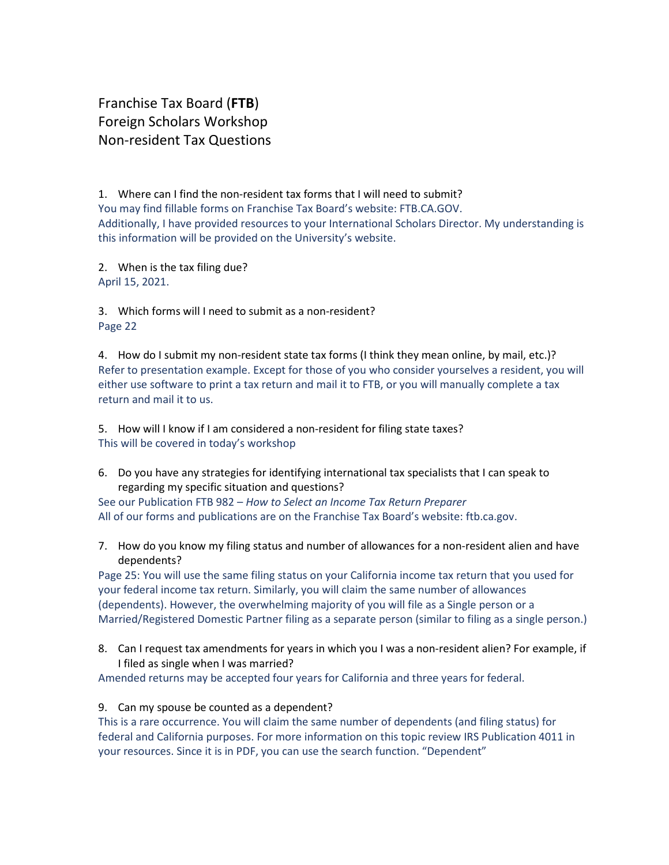Franchise Tax Board (**FTB**) Foreign Scholars Workshop Non-resident Tax Questions

1. Where can I find the non-resident tax forms that I will need to submit? You may find fillable forms on Franchise Tax Board's website: FTB.CA.GOV. Additionally, I have provided resources to your International Scholars Director. My understanding is this information will be provided on the University's website.

2. When is the tax filing due? April 15, 2021.

3. Which forms will I need to submit as a non-resident? Page 22

4. How do I submit my non-resident state tax forms (I think they mean online, by mail, etc.)? Refer to presentation example. Except for those of you who consider yourselves a resident, you will either use software to print a tax return and mail it to FTB, or you will manually complete a tax return and mail it to us.

5. How will I know if I am considered a non-resident for filing state taxes? This will be covered in today's workshop

6. Do you have any strategies for identifying international tax specialists that I can speak to regarding my specific situation and questions?

See our Publication FTB 982 – *How to Select an Income Tax Return Preparer* All of our forms and publications are on the Franchise Tax Board's website: ftb.ca.gov.

7. How do you know my filing status and number of allowances for a non-resident alien and have dependents?

Page 25: You will use the same filing status on your California income tax return that you used for your federal income tax return. Similarly, you will claim the same number of allowances (dependents). However, the overwhelming majority of you will file as a Single person or a Married/Registered Domestic Partner filing as a separate person (similar to filing as a single person.)

8. Can I request tax amendments for years in which you I was a non-resident alien? For example, if I filed as single when I was married?

Amended returns may be accepted four years for California and three years for federal.

## 9. Can my spouse be counted as a dependent?

This is a rare occurrence. You will claim the same number of dependents (and filing status) for federal and California purposes. For more information on this topic review IRS Publication 4011 in your resources. Since it is in PDF, you can use the search function. "Dependent"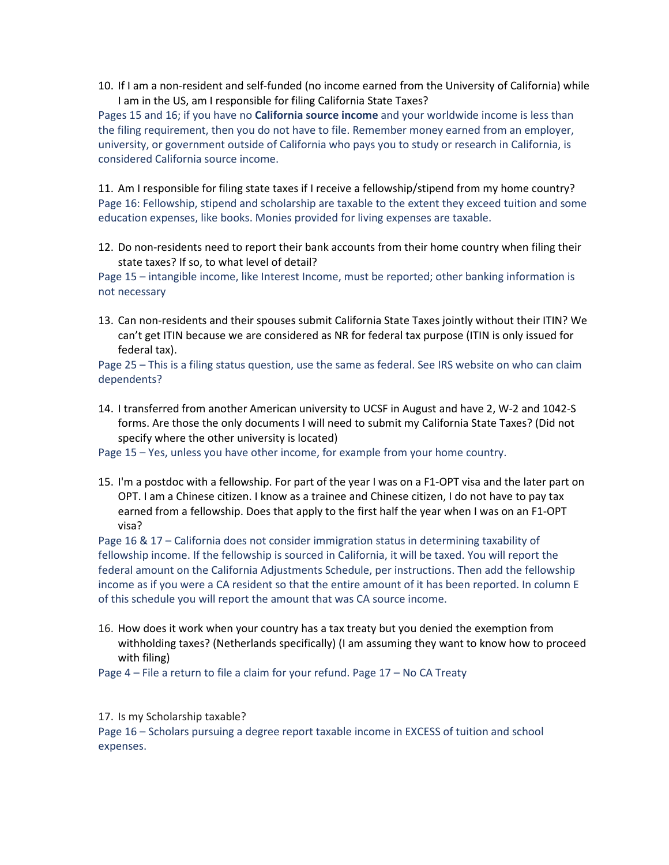10. If I am a non-resident and self-funded (no income earned from the University of California) while I am in the US, am I responsible for filing California State Taxes?

Pages 15 and 16; if you have no **California source income** and your worldwide income is less than the filing requirement, then you do not have to file. Remember money earned from an employer, university, or government outside of California who pays you to study or research in California, is considered California source income.

11. Am I responsible for filing state taxes if I receive a fellowship/stipend from my home country? Page 16: Fellowship, stipend and scholarship are taxable to the extent they exceed tuition and some education expenses, like books. Monies provided for living expenses are taxable.

12. Do non-residents need to report their bank accounts from their home country when filing their state taxes? If so, to what level of detail?

Page 15 – intangible income, like Interest Income, must be reported; other banking information is not necessary

13. Can non-residents and their spouses submit California State Taxes jointly without their ITIN? We can't get ITIN because we are considered as NR for federal tax purpose (ITIN is only issued for federal tax).

Page 25 – This is a filing status question, use the same as federal. See IRS website on who can claim dependents?

14. I transferred from another American university to UCSF in August and have 2, W-2 and 1042-S forms. Are those the only documents I will need to submit my California State Taxes? (Did not specify where the other university is located)

Page 15 – Yes, unless you have other income, for example from your home country.

15. I'm a postdoc with a fellowship. For part of the year I was on a F1-OPT visa and the later part on OPT. I am a Chinese citizen. I know as a trainee and Chinese citizen, I do not have to pay tax earned from a fellowship. Does that apply to the first half the year when I was on an F1-OPT visa?

Page 16 & 17 – California does not consider immigration status in determining taxability of fellowship income. If the fellowship is sourced in California, it will be taxed. You will report the federal amount on the California Adjustments Schedule, per instructions. Then add the fellowship income as if you were a CA resident so that the entire amount of it has been reported. In column E of this schedule you will report the amount that was CA source income.

16. How does it work when your country has a tax treaty but you denied the exemption from withholding taxes? (Netherlands specifically) (I am assuming they want to know how to proceed with filing)

Page 4 – File a return to file a claim for your refund. Page 17 – No CA Treaty

17. Is my Scholarship taxable?

Page 16 – Scholars pursuing a degree report taxable income in EXCESS of tuition and school expenses.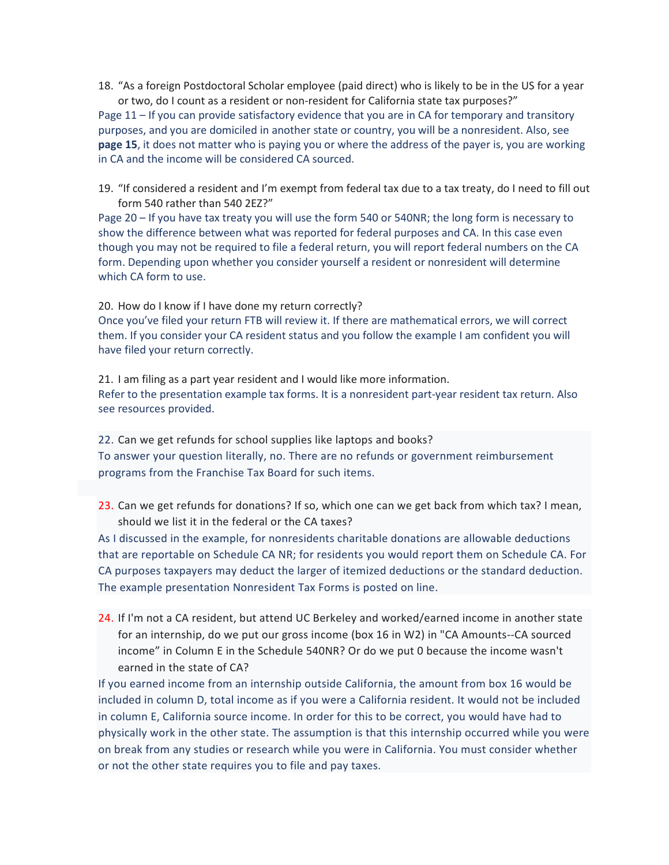18. "As a foreign Postdoctoral Scholar employee (paid direct) who is likely to be in the US for a year or two, do I count as a resident or non-resident for California state tax purposes?"

Page 11 – If you can provide satisfactory evidence that you are in CA for temporary and transitory purposes, and you are domiciled in another state or country, you will be a nonresident. Also, see **page 15**, it does not matter who is paying you or where the address of the payer is, you are working in CA and the income will be considered CA sourced.

19. "If considered a resident and I'm exempt from federal tax due to a tax treaty, do I need to fill out form 540 rather than 540 2EZ?"

Page 20 – If you have tax treaty you will use the form 540 or 540NR; the long form is necessary to show the difference between what was reported for federal purposes and CA. In this case even though you may not be required to file a federal return, you will report federal numbers on the CA form. Depending upon whether you consider yourself a resident or nonresident will determine which CA form to use.

20. How do I know if I have done my return correctly? Once you've filed your return FTB will review it. If there are mathematical errors, we will correct them. If you consider your CA resident status and you follow the example I am confident you will have filed your return correctly.

21. I am filing as a part year resident and I would like more information. Refer to the presentation example tax forms. It is a nonresident part-year resident tax return. Also see resources provided.

22. Can we get refunds for school supplies like laptops and books? To answer your question literally, no. There are no refunds or government reimbursement programs from the Franchise Tax Board for such items.

23. Can we get refunds for donations? If so, which one can we get back from which tax? I mean, should we list it in the federal or the CA taxes?

As I discussed in the example, for nonresidents charitable donations are allowable deductions that are reportable on Schedule CA NR; for residents you would report them on Schedule CA. For CA purposes taxpayers may deduct the larger of itemized deductions or the standard deduction. The example presentation Nonresident Tax Forms is posted on line.

24. If I'm not a CA resident, but attend UC Berkeley and worked/earned income in another state for an internship, do we put our gross income (box 16 in W2) in "CA Amounts--CA sourced income" in Column E in the Schedule 540NR? Or do we put 0 because the income wasn't earned in the state of CA?

If you earned income from an internship outside California, the amount from box 16 would be included in column D, total income as if you were a California resident. It would not be included in column E, California source income. In order for this to be correct, you would have had to physically work in the other state. The assumption is that this internship occurred while you were on break from any studies or research while you were in California. You must consider whether or not the other state requires you to file and pay taxes.